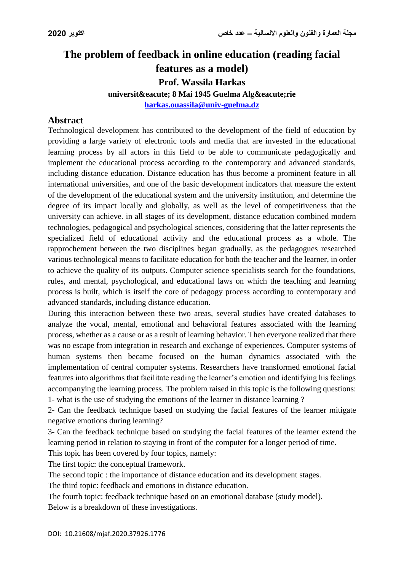# **The problem of feedback in online education (reading facial**

**features as a model)**

**Prof. Wassila Harkas**

**université 8 Mai 1945 Guelma Algérie** 

**[harkas.ouassila@univ-guelma.dz](mailto:harkas.ouassila@univ-guelma.dz)**

### **Abstract**

Technological development has contributed to the development of the field of education by providing a large variety of electronic tools and media that are invested in the educational learning process by all actors in this field to be able to communicate pedagogically and implement the educational process according to the contemporary and advanced standards, including distance education. Distance education has thus become a prominent feature in all international universities, and one of the basic development indicators that measure the extent of the development of the educational system and the university institution, and determine the degree of its impact locally and globally, as well as the level of competitiveness that the university can achieve. in all stages of its development, distance education combined modern technologies, pedagogical and psychological sciences, considering that the latter represents the specialized field of educational activity and the educational process as a whole. The rapprochement between the two disciplines began gradually, as the pedagogues researched various technological means to facilitate education for both the teacher and the learner, in order to achieve the quality of its outputs. Computer science specialists search for the foundations, rules, and mental, psychological, and educational laws on which the teaching and learning process is built, which is itself the core of pedagogy process according to contemporary and advanced standards, including distance education.

During this interaction between these two areas, several studies have created databases to analyze the vocal, mental, emotional and behavioral features associated with the learning process, whether as a cause or as a result of learning behavior. Then everyone realized that there was no escape from integration in research and exchange of experiences. Computer systems of human systems then became focused on the human dynamics associated with the implementation of central computer systems. Researchers have transformed emotional facial features into algorithms that facilitate reading the learner's emotion and identifying his feelings accompanying the learning process. The problem raised in this topic is the following questions: 1- what is the use of studying the emotions of the learner in distance learning ?

2- Can the feedback technique based on studying the facial features of the learner mitigate negative emotions during learning?

3- Can the feedback technique based on studying the facial features of the learner extend the learning period in relation to staying in front of the computer for a longer period of time.

This topic has been covered by four topics, namely:

The first topic: the conceptual framework.

The second topic : the importance of distance education and its development stages.

The third topic: feedback and emotions in distance education.

The fourth topic: feedback technique based on an emotional database (study model). Below is a breakdown of these investigations.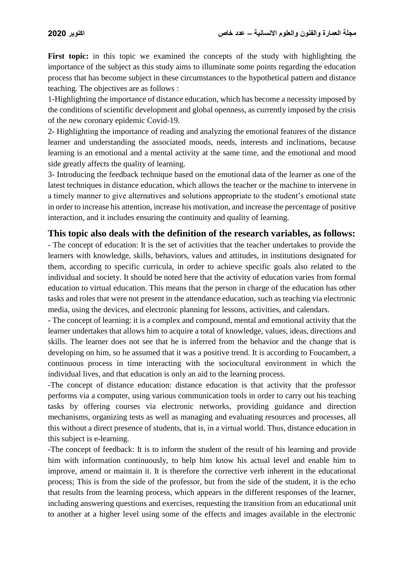**First topic:** in this topic we examined the concepts of the study with highlighting the importance of the subject as this study aims to illuminate some points regarding the education process that has become subject in these circumstances to the hypothetical pattern and distance teaching. The objectives are as follows :

1-Highlighting the importance of distance education, which has become a necessity imposed by the conditions of scientific development and global openness, as currently imposed by the crisis of the new coronary epidemic Covid-19.

2- Highlighting the importance of reading and analyzing the emotional features of the distance learner and understanding the associated moods, needs, interests and inclinations, because learning is an emotional and a mental activity at the same time, and the emotional and mood side greatly affects the quality of learning.

3- Introducing the feedback technique based on the emotional data of the learner as one of the latest techniques in distance education, which allows the teacher or the machine to intervene in a timely manner to give alternatives and solutions appropriate to the student's emotional state in order to increase his attention, increase his motivation, and increase the percentage of positive interaction, and it includes ensuring the continuity and quality of learning.

### **This topic also deals with the definition of the research variables, as follows:**

- The concept of education: It is the set of activities that the teacher undertakes to provide the learners with knowledge, skills, behaviors, values and attitudes, in institutions designated for them, according to specific curricula, in order to achieve specific goals also related to the individual and society. It should be noted here that the activity of education varies from formal education to virtual education. This means that the person in charge of the education has other tasks and roles that were not present in the attendance education, such as teaching via electronic media, using the devices, and electronic planning for lessons, activities, and calendars.

- The concept of learning: it is a complex and compound, mental and emotional activity that the learner undertakes that allows him to acquire a total of knowledge, values, ideas, directions and skills. The learner does not see that he is inferred from the behavior and the change that is developing on him, so he assumed that it was a positive trend. It is according to Foucambert, a continuous process in time interacting with the sociocultural environment in which the individual lives, and that education is only an aid to the learning process.

-The concept of distance education: distance education is that activity that the professor performs via a computer, using various communication tools in order to carry out his teaching tasks by offering courses via electronic networks, providing guidance and direction mechanisms, organizing tests as well as managing and evaluating resources and processes, all this without a direct presence of students, that is, in a virtual world. Thus, distance education in this subject is e-learning.

-The concept of feedback: It is to inform the student of the result of his learning and provide him with information continuously, to help him know his actual level and enable him to improve, amend or maintain it. It is therefore the corrective verb inherent in the educational process; This is from the side of the professor, but from the side of the student, it is the echo that results from the learning process, which appears in the different responses of the learner, including answering questions and exercises, requesting the transition from an educational unit to another at a higher level using some of the effects and images available in the electronic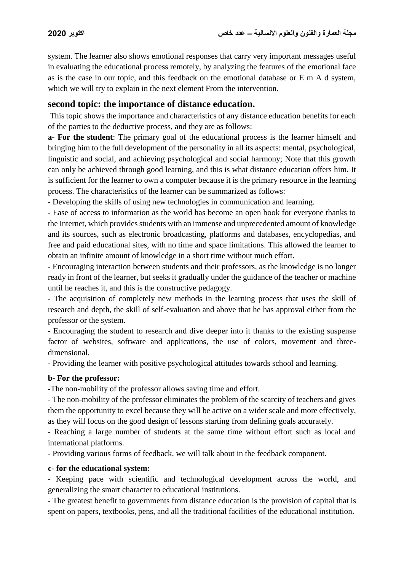system. The learner also shows emotional responses that carry very important messages useful in evaluating the educational process remotely, by analyzing the features of the emotional face as is the case in our topic, and this feedback on the emotional database or E m A d system, which we will try to explain in the next element From the intervention.

### **second topic: the importance of distance education.**

This topic shows the importance and characteristics of any distance education benefits for each of the parties to the deductive process, and they are as follows:

**a- For the student**: The primary goal of the educational process is the learner himself and bringing him to the full development of the personality in all its aspects: mental, psychological, linguistic and social, and achieving psychological and social harmony; Note that this growth can only be achieved through good learning, and this is what distance education offers him. It is sufficient for the learner to own a computer because it is the primary resource in the learning process. The characteristics of the learner can be summarized as follows:

- Developing the skills of using new technologies in communication and learning.

- Ease of access to information as the world has become an open book for everyone thanks to the Internet, which provides students with an immense and unprecedented amount of knowledge and its sources, such as electronic broadcasting, platforms and databases, encyclopedias, and free and paid educational sites, with no time and space limitations. This allowed the learner to obtain an infinite amount of knowledge in a short time without much effort.

- Encouraging interaction between students and their professors, as the knowledge is no longer ready in front of the learner, but seeks it gradually under the guidance of the teacher or machine until he reaches it, and this is the constructive pedagogy.

- The acquisition of completely new methods in the learning process that uses the skill of research and depth, the skill of self-evaluation and above that he has approval either from the professor or the system.

- Encouraging the student to research and dive deeper into it thanks to the existing suspense factor of websites, software and applications, the use of colors, movement and threedimensional.

- Providing the learner with positive psychological attitudes towards school and learning.

#### **b- For the professor:**

**-**The non-mobility of the professor allows saving time and effort.

- The non-mobility of the professor eliminates the problem of the scarcity of teachers and gives them the opportunity to excel because they will be active on a wider scale and more effectively, as they will focus on the good design of lessons starting from defining goals accurately.

- Reaching a large number of students at the same time without effort such as local and international platforms.

- Providing various forms of feedback, we will talk about in the feedback component.

#### **c- for the educational system:**

- Keeping pace with scientific and technological development across the world, and generalizing the smart character to educational institutions.

- The greatest benefit to governments from distance education is the provision of capital that is spent on papers, textbooks, pens, and all the traditional facilities of the educational institution.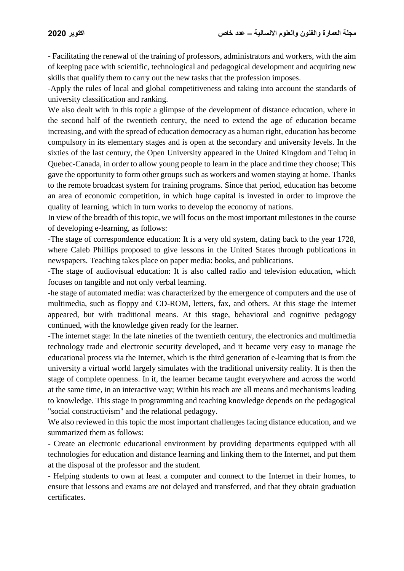- Facilitating the renewal of the training of professors, administrators and workers, with the aim of keeping pace with scientific, technological and pedagogical development and acquiring new skills that qualify them to carry out the new tasks that the profession imposes.

-Apply the rules of local and global competitiveness and taking into account the standards of university classification and ranking.

We also dealt with in this topic a glimpse of the development of distance education, where in the second half of the twentieth century, the need to extend the age of education became increasing, and with the spread of education democracy as a human right, education has become compulsory in its elementary stages and is open at the secondary and university levels. In the sixties of the last century, the Open University appeared in the United Kingdom and Teluq in Quebec-Canada, in order to allow young people to learn in the place and time they choose; This gave the opportunity to form other groups such as workers and women staying at home. Thanks to the remote broadcast system for training programs. Since that period, education has become an area of economic competition, in which huge capital is invested in order to improve the quality of learning, which in turn works to develop the economy of nations.

In view of the breadth of this topic, we will focus on the most important milestones in the course of developing e-learning, as follows:

-The stage of correspondence education: It is a very old system, dating back to the year 1728, where Caleb Phillips proposed to give lessons in the United States through publications in newspapers. Teaching takes place on paper media: books, and publications.

-The stage of audiovisual education: It is also called radio and television education, which focuses on tangible and not only verbal learning.

-he stage of automated media: was characterized by the emergence of computers and the use of multimedia, such as floppy and CD-ROM, letters, fax, and others. At this stage the Internet appeared, but with traditional means. At this stage, behavioral and cognitive pedagogy continued, with the knowledge given ready for the learner.

-The internet stage: In the late nineties of the twentieth century, the electronics and multimedia technology trade and electronic security developed, and it became very easy to manage the educational process via the Internet, which is the third generation of e-learning that is from the university a virtual world largely simulates with the traditional university reality. It is then the stage of complete openness. In it, the learner became taught everywhere and across the world at the same time, in an interactive way; Within his reach are all means and mechanisms leading to knowledge. This stage in programming and teaching knowledge depends on the pedagogical "social constructivism" and the relational pedagogy.

We also reviewed in this topic the most important challenges facing distance education, and we summarized them as follows:

- Create an electronic educational environment by providing departments equipped with all technologies for education and distance learning and linking them to the Internet, and put them at the disposal of the professor and the student.

- Helping students to own at least a computer and connect to the Internet in their homes, to ensure that lessons and exams are not delayed and transferred, and that they obtain graduation certificates.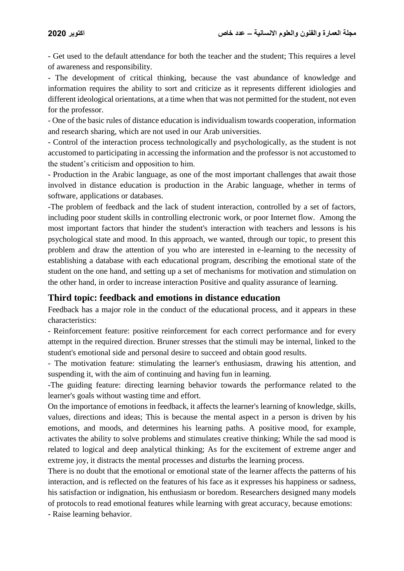- Get used to the default attendance for both the teacher and the student; This requires a level of awareness and responsibility.

- The development of critical thinking, because the vast abundance of knowledge and information requires the ability to sort and criticize as it represents different idiologies and different ideological orientations, at a time when that was not permitted for the student, not even for the professor.

- One of the basic rules of distance education is individualism towards cooperation, information and research sharing, which are not used in our Arab universities.

- Control of the interaction process technologically and psychologically, as the student is not accustomed to participating in accessing the information and the professor is not accustomed to the student's criticism and opposition to him.

- Production in the Arabic language, as one of the most important challenges that await those involved in distance education is production in the Arabic language, whether in terms of software, applications or databases.

-The problem of feedback and the lack of student interaction, controlled by a set of factors, including poor student skills in controlling electronic work, or poor Internet flow. Among the most important factors that hinder the student's interaction with teachers and lessons is his psychological state and mood. In this approach, we wanted, through our topic, to present this problem and draw the attention of you who are interested in e-learning to the necessity of establishing a database with each educational program, describing the emotional state of the student on the one hand, and setting up a set of mechanisms for motivation and stimulation on the other hand, in order to increase interaction Positive and quality assurance of learning.

### **Third topic: feedback and emotions in distance education**

Feedback has a major role in the conduct of the educational process, and it appears in these characteristics:

- Reinforcement feature: positive reinforcement for each correct performance and for every attempt in the required direction. Bruner stresses that the stimuli may be internal, linked to the student's emotional side and personal desire to succeed and obtain good results.

- The motivation feature: stimulating the learner's enthusiasm, drawing his attention, and suspending it, with the aim of continuing and having fun in learning.

-The guiding feature: directing learning behavior towards the performance related to the learner's goals without wasting time and effort.

On the importance of emotions in feedback, it affects the learner's learning of knowledge, skills, values, directions and ideas; This is because the mental aspect in a person is driven by his emotions, and moods, and determines his learning paths. A positive mood, for example, activates the ability to solve problems and stimulates creative thinking; While the sad mood is related to logical and deep analytical thinking; As for the excitement of extreme anger and extreme joy, it distracts the mental processes and disturbs the learning process.

There is no doubt that the emotional or emotional state of the learner affects the patterns of his interaction, and is reflected on the features of his face as it expresses his happiness or sadness, his satisfaction or indignation, his enthusiasm or boredom. Researchers designed many models of protocols to read emotional features while learning with great accuracy, because emotions:

- Raise learning behavior.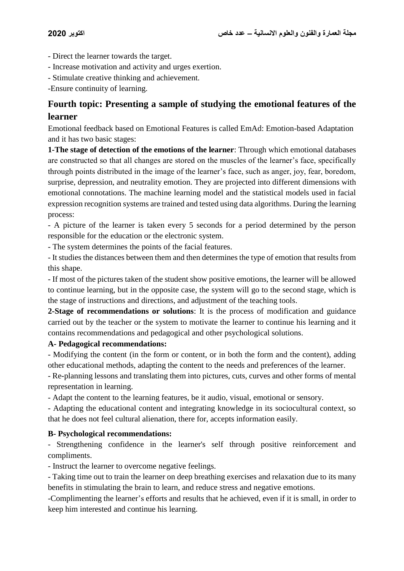- Direct the learner towards the target.
- Increase motivation and activity and urges exertion.
- Stimulate creative thinking and achievement.

-Ensure continuity of learning.

## **Fourth topic: Presenting a sample of studying the emotional features of the learner**

Emotional feedback based on Emotional Features is called EmAd: Emotion-based Adaptation and it has two basic stages:

**1-The stage of detection of the emotions of the learner**: Through which emotional databases are constructed so that all changes are stored on the muscles of the learner's face, specifically through points distributed in the image of the learner's face, such as anger, joy, fear, boredom, surprise, depression, and neutrality emotion. They are projected into different dimensions with emotional connotations. The machine learning model and the statistical models used in facial expression recognition systems are trained and tested using data algorithms. During the learning process:

- A picture of the learner is taken every 5 seconds for a period determined by the person responsible for the education or the electronic system.

- The system determines the points of the facial features.

- It studies the distances between them and then determines the type of emotion that results from this shape.

- If most of the pictures taken of the student show positive emotions, the learner will be allowed to continue learning, but in the opposite case, the system will go to the second stage, which is the stage of instructions and directions, and adjustment of the teaching tools.

**2-Stage of recommendations or solutions**: It is the process of modification and guidance carried out by the teacher or the system to motivate the learner to continue his learning and it contains recommendations and pedagogical and other psychological solutions.

#### **A- Pedagogical recommendations:**

- Modifying the content (in the form or content, or in both the form and the content), adding other educational methods, adapting the content to the needs and preferences of the learner.

- Re-planning lessons and translating them into pictures, cuts, curves and other forms of mental representation in learning.

- Adapt the content to the learning features, be it audio, visual, emotional or sensory.

- Adapting the educational content and integrating knowledge in its sociocultural context, so that he does not feel cultural alienation, there for, accepts information easily.

#### **B- Psychological recommendations:**

- Strengthening confidence in the learner's self through positive reinforcement and compliments.

- Instruct the learner to overcome negative feelings.

- Taking time out to train the learner on deep breathing exercises and relaxation due to its many benefits in stimulating the brain to learn, and reduce stress and negative emotions.

-Complimenting the learner's efforts and results that he achieved, even if it is small, in order to keep him interested and continue his learning.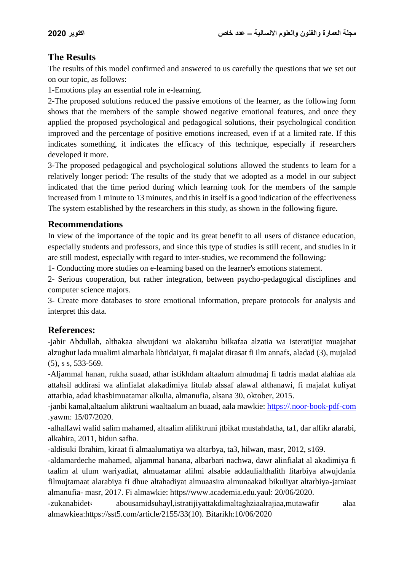### **The Results**

The results of this model confirmed and answered to us carefully the questions that we set out on our topic, as follows:

1-Emotions play an essential role in e-learning.

2-The proposed solutions reduced the passive emotions of the learner, as the following form shows that the members of the sample showed negative emotional features, and once they applied the proposed psychological and pedagogical solutions, their psychological condition improved and the percentage of positive emotions increased, even if at a limited rate. If this indicates something, it indicates the efficacy of this technique, especially if researchers developed it more.

3-The proposed pedagogical and psychological solutions allowed the students to learn for a relatively longer period: The results of the study that we adopted as a model in our subject indicated that the time period during which learning took for the members of the sample increased from 1 minute to 13 minutes, and this in itself is a good indication of the effectiveness The system established by the researchers in this study, as shown in the following figure.

### **Recommendations**

In view of the importance of the topic and its great benefit to all users of distance education, especially students and professors, and since this type of studies is still recent, and studies in it are still modest, especially with regard to inter-studies, we recommend the following:

1- Conducting more studies on e-learning based on the learner's emotions statement.

2- Serious cooperation, but rather integration, between psycho-pedagogical disciplines and computer science majors.

3- Create more databases to store emotional information, prepare protocols for analysis and interpret this data.

## **References:**

-jabir Abdullah, althakaa alwujdani wa alakatuhu bilkafaa alzatia wa isteratijiat muajahat alzughut lada mualimi almarhala libtidaiyat, fi majalat dirasat fi ilm annafs, aladad (3), mujalad (5), s s, 533-569.

-Aljammal hanan, rukha suaad, athar istikhdam altaalum almudmaj fi tadris madat alahiaa ala attahsil addirasi wa alinfialat alakadimiya litulab alssaf alawal althanawi, fi majalat kuliyat attarbia, adad khasbimuatamar alkulia, almanufia, alsana 30, oktober, 2015.

-janbi kamal,altaalum aliktruni waaltaalum an buaad, aala mawkie: [https://.noor-book-pdf-com](https://.noor-book-pdf-com/) .yawm: 15/07/2020.

-alhalfawi walid salim mahamed, altaalim aliliktruni jtbikat mustahdatha, ta1, dar alfikr alarabi, alkahira, 2011, bidun safha.

-aldisuki Ibrahim, kiraat fi almaalumatiya wa altarbya, ta3, hilwan, masr, 2012, s169.

-aldamardeche mahamed, aljammal hanana, albarbari nachwa, dawr alinfialat al akadimiya fi taalim al ulum wariyadiat, almuatamar alilmi alsabie addaulialthalith litarbiya alwujdania filmujtamaat alarabiya fi dhue altahadiyat almuaasira almunaakad bikuliyat altarbiya-jamiaat almanufia- masr, 2017. Fi almawkie: https//www.academia.edu.yaul: 20/06/2020.

-zukanabidet، abousamidsuhayl,istratijiyattakdimaltaghziaalrajiaa,mutawafir alaa almawkiea:https://sst5.com/article/2155/33(10). Bitarikh:10/06/2020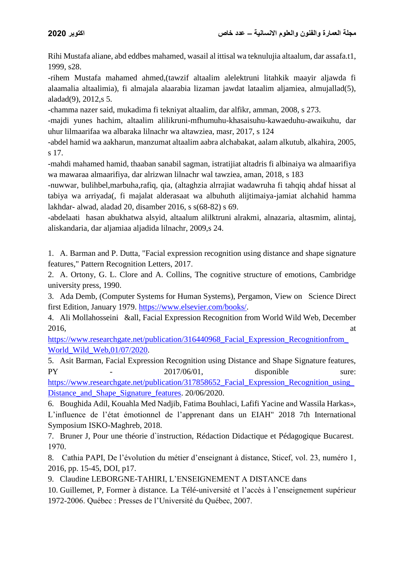Rihi Mustafa aliane, abd eddbes mahamed, wasail al ittisal wa teknulujia altaalum, dar assafa.t1, 1999, s28.

-rihem Mustafa mahamed ahmed,(tawzif altaalim alelektruni litahkik maayir aljawda fi alaamalia altaalimia), fi almajala alaarabia lizaman jawdat lataalim aljamiea, almujallad(5), aladad(9), 2012,s 5.

-chamma nazer said, mukadima fi tekniyat altaalim, dar alfikr, amman, 2008, s 273.

-majdi yunes hachim, altaalim alilikruni-mfhumuhu-khasaisuhu-kawaeduhu-awaikuhu, dar uhur lilmaarifaa wa albaraka lilnachr wa altawziea, masr, 2017, s 124

-abdel hamid wa aakharun, manzumat altaalim aabra alchabakat, aalam alkutub, alkahira, 2005, s 17.

-mahdi mahamed hamid, thaaban sanabil sagman, istratijiat altadris fi albinaiya wa almaarifiya wa mawaraa almaarifiya, dar alrizwan lilnachr wal tawziea, aman, 2018, s 183

-nuwwar, bulihbel,marbuha,rafiq, qia, (altaghzia alrrajiat wadawruha fi tahqiq ahdaf hissat al tabiya wa arriyada(, fi majalat alderasaat wa albuhuth alijtimaiya-jamiat alchahid hamma lakhdar- alwad, aladad 20, disamber 2016, s s(68-82) s 69.

-abdelaati hasan abukhatwa alsyid, altaalum alilktruni alrakmi, alnazaria, altasmim, alintaj, aliskandaria, dar aljamiaa aljadida lilnachr, 2009,s 24.

1. A. Barman and P. Dutta, "Facial expression recognition using distance and shape signature features," Pattern Recognition Letters, 2017.

2. A. Ortony, G. L. Clore and A. Collins, The cognitive structure of emotions, Cambridge university press, 1990.

3. Ada Demb, (Computer Systems for Human Systems), Pergamon, View on Science Direct first Edition, January 1979. [https://www.elsevier.com/books/.](https://www.elsevier.com/books/)

4. Ali Mollahosseini &all, Facial Expression Recognition from World Wild Web, December  $2016$ , at

[https://www.researchgate.net/publication/316440968\\_Facial\\_Expression\\_Recognitionfrom\\_](https://www.researchgate.net/publication/316440968_Facial_Expression_Recognition_from_World_Wild_Web,01/07/2020) [World\\_Wild\\_Web,01/07/2020.](https://www.researchgate.net/publication/316440968_Facial_Expression_Recognition_from_World_Wild_Web,01/07/2020)

5. Asit Barman, Facial Expression Recognition using Distance and Shape Signature features, PY  $-2017/06/01$ , disponible sure: https://www.researchgate.net/publication/317858652 Facial Expression Recognition using Distance and Shape Signature features. 20/06/2020.

6. Boughida Adil, Kouahla Med Nadjib, Fatima Bouhlaci, Lafifi Yacine and Wassila Harkas», L'influence de l'état émotionnel de l'apprenant dans un EIAH" 2018 7th International Symposium ISKO-Maghreb, 2018.

7. Bruner J, Pour une théorie d`instruction, Rédaction Didactique et Pédagogique Bucarest. 1970.

8. Cathia PAPI, De l'évolution du métier d'enseignant à distance, Sticef, vol. 23, numéro 1, 2016, pp. 15-45, DOI, p17.

9. Claudine LEBORGNE-TAHIRI, L'ENSEIGNEMENT A DISTANCE dans

10. Guillemet, P, Former à distance. La Télé-université et l'accès à l'enseignement supérieur 1972-2006. Québec : Presses de l'Université du Québec, 2007.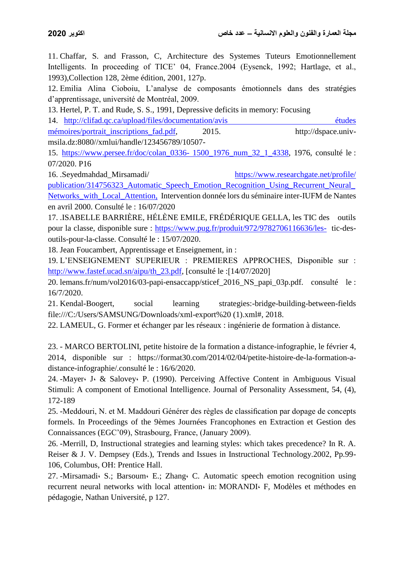11. Chaffar, S. and Frasson, C, Architecture des Systemes Tuteurs Emotionnellement Intelligents. In proceeding of TICE' 04, France. 2004 (Eysenck, 1992; Hartlage, et al., 1993),Collection 128, 2ème édition, 2001, 127p.

12. Emilia Alina Cioboiu, L'analyse de composants émotionnels dans des stratégies d'apprentissage, université de Montréal, 2009.

13. Hertel, P. T. and Rude, S. S., 1991, Depressive deficits in memory: Focusing

14. [http://clifad.qc.ca/upload/files/documentation/avis études](http://clifad.qc.ca/upload/files/documentation/avis%20études%20%20%20%20%20%20%20%20mémoires/portrait_inscriptions_fad.pdf)  [mémoires/portrait\\_inscriptions\\_fad.pdf,](http://clifad.qc.ca/upload/files/documentation/avis%20études%20%20%20%20%20%20%20%20mémoires/portrait_inscriptions_fad.pdf) 2015. http://dspace.univmsila.dz:8080//xmlui/handle/123456789/10507-

15. [https://www.persee.fr/doc/colan\\_0336-](https://www.persee.fr/doc/colan_0336-%201500_1976_num_32_1_4338) 1500\_1976\_num\_32\_1\_4338, 1976, consulté le : 07/2020. P16

16. .Seyedmahdad\_Mirsamadi/ [https://www.researchgate.net/profile/](https://www.researchgate.net/profile/Seyedmahdad_Mirsamadi/publication/314756323_Automatic_Speech_Emotion_Recognition_Using_Recurrent_Neural_Networks_with_Local_Attention,le:16/7/2020)  [publication/314756323\\_Automatic\\_Speech\\_Emotion\\_Recognition\\_Using\\_Recurrent\\_Neural\\_](https://www.researchgate.net/profile/Seyedmahdad_Mirsamadi/publication/314756323_Automatic_Speech_Emotion_Recognition_Using_Recurrent_Neural_Networks_with_Local_Attention,le:16/7/2020) [Networks\\_with\\_Local\\_Attention,](https://www.researchgate.net/profile/Seyedmahdad_Mirsamadi/publication/314756323_Automatic_Speech_Emotion_Recognition_Using_Recurrent_Neural_Networks_with_Local_Attention,le:16/7/2020) Intervention donnée lors du séminaire inter-IUFM de Nantes en avril 2000. Consulté le : 16/07/2020

17. .ISABELLE BARRIÈRE, HÉLÈNE EMILE, FRÉDÉRIQUE GELLA, les TIC des outils pour la classe, disponible sure :<https://www.pug.fr/produit/972/9782706116636/les->tic-desoutils-pour-la-classe. Consulté le : 15/07/2020.

18. Jean Foucambert, Apprentissage et Enseignement, in :

19. L'ENSEIGNEMENT SUPERIEUR : PREMIERES APPROCHES, Disponible sur : [http://www.fastef.ucad.sn/aipu/th\\_23.pdf,](http://www.fastef.ucad.sn/aipu/th_23.pdf) [consulté le :[14/07/2020]

20. lemans.fr/num/vol2016/03-papi-ensaccapp/sticef\_2016\_NS\_papi\_03p.pdf. consulté le : 16/7/2020.

21. Kendal-Boogert, social learning strategies:-bridge-building-between-fields file:///C:/Users/SAMSUNG/Downloads/xml-export%20 (1).xml#, 2018.

22. LAMEUL, G. Former et échanger par les réseaux : ingénierie de formation à distance.

23. - MARCO BERTOLINI, petite histoire de la formation a distance-infographie, le février 4, 2014, disponible sur : https://format30.com/2014/02/04/petite-histoire-de-la-formation-adistance-infographie/.consulté le : 16/6/2020.

24. -Mayer، J، & Salovey، P. (1990). Perceiving Affective Content in Ambiguous Visual Stimuli: A component of Emotional Intelligence. Journal of Personality Assessment, 54, (4), 172-189

25. -Meddouri, N. et M. Maddouri Générer des règles de classification par dopage de concepts formels. In Proceedings of the 9èmes Journées Francophones en Extraction et Gestion des Connaissances (EGC'09), Strasbourg, France, (January 2009).

26. -Merrill, D, Instructional strategies and learning styles: which takes precedence? In R. A. Reiser & J. V. Dempsey (Eds.), Trends and Issues in Instructional Technology.2002, Pp.99- 106, Columbus, OH: Prentice Hall.

27. -Mirsamadi، S.; Barsoum، E.; Zhang، C. Automatic speech emotion recognition using recurrent neural networks with local attention in: MORANDI F. Modèles et méthodes en pédagogie, Nathan Université, p 127.